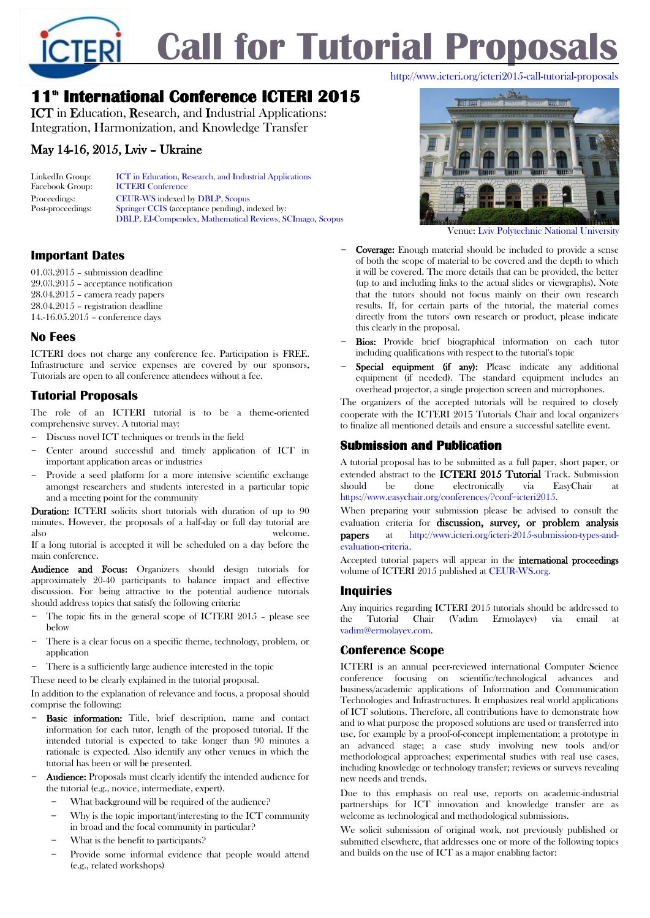

# **11th International Conference ICTERI 2015**

ICT in Education, Research, and Industrial Applications: Integration, Harmonization, and Knowledge Transfer

# May 14-16, 2015, Lviv – Ukraine

| LinkedIn Group:   | <b>ICT</b> in Education, Research, and Industrial Applications   |
|-------------------|------------------------------------------------------------------|
| Facebook Group:   | <b>ICTERI</b> Conference                                         |
| Proceedings:      | CEUR-WS indexed by DBLP, Scopus                                  |
| Post-proceedings: | Springer CCIS (acceptance pending), indexed by:                  |
|                   | <b>DBLP, EI-Compendex, Mathematical Reviews, SCImago, Scopus</b> |

# **Important Dates**

01.03.2015 – submission deadline 29.03.2015 – acceptance notification 28.04.2015 – camera ready papers 28.04.2015 – registration deadline 14.-16.05.2015 – conference days

# **No Fees**

ICTERI does not charge any conference fee. Participation is FREE. Infrastructure and service expenses are covered by our sponsors. Tutorials are open to all conference attendees without a fee.

# **Tutorial Proposals**

The role of an ICTERI tutorial is to be a theme-oriented comprehensive survey. A tutorial may:

- Discuss novel ICT techniques or trends in the field
- Center around successful and timely application of ICT in important application areas or industries
- Provide a seed platform for a more intensive scientific exchange amongst researchers and students interested in a particular topic and a meeting point for the community

Duration: ICTERI solicits short tutorials with duration of up to 90 minutes. However, the proposals of a half-day or full day tutorial are also welcome.

If a long tutorial is accepted it will be scheduled on a day before the main conference.

Audience and Focus: Organizers should design tutorials for approximately 20-40 participants to balance impact and effective discussion. For being attractive to the potential audience tutorials should address topics that satisfy the following criteria:

- The topic fits in the general scope of ICTERI 2015 please see below
- There is a clear focus on a specific theme, technology, problem, or application
- There is a sufficiently large audience interested in the topic

These need to be clearly explained in the tutorial proposal.

In addition to the explanation of relevance and focus, a proposal should comprise the following:

- Basic information: Title, brief description, name and contact information for each tutor, length of the proposed tutorial. If the intended tutorial is expected to take longer than 90 minutes a rationale is expected. Also identify any other venues in which the tutorial has been or will be presented.
- Audience: Proposals must clearly identify the intended audience for the tutorial (e.g., novice, intermediate, expert).
	- What background will be required of the audience?
	- Why is the topic important/interesting to the ICT community in broad and the focal community in particular?
	- What is the benefit to participants?
	- Provide some informal evidence that people would attend (e.g., related workshops)

Venue[: Lviv Polytechnic National University](http://www.lp.edu.ua/en)

- Coverage: Enough material should be included to provide a sense of both the scope of material to be covered and the depth to which it will be covered. The more details that can be provided, the better (up to and including links to the actual slides or viewgraphs). Note that the tutors should not focus mainly on their own research results. If, for certain parts of the tutorial, the material comes directly from the tutors' own research or product, please indicate this clearly in the proposal.
- Bios: Provide brief biographical information on each tutor including qualifications with respect to the tutorial's topic
- Special equipment (if any): Please indicate any additional equipment (if needed). The standard equipment includes an overhead projector, a single projection screen and microphones.

The organizers of the accepted tutorials will be required to closely cooperate with the ICTERI 2015 Tutorials Chair and local organizers to finalize all mentioned details and ensure a successful satellite event.

# **Submission and Publication**

A tutorial proposal has to be submitted as a full paper, short paper, or extended abstract to the ICTERI 2015 Tutorial Track. Submission should be done electronically via EasyChair [https://www.easychair.org/conferences/?conf=icteri2015.](https://www.easychair.org/conferences/?conf=icteri2015)

When preparing your submission please be advised to consult the evaluation criteria for discussion, survey, or problem analysis papers at [http://www.icteri.org/icteri-2015-submission-types-and](http://www.icteri.org/icteri-2015-submission-types-and-evaluation-criteria)[evaluation-criteria.](http://www.icteri.org/icteri-2015-submission-types-and-evaluation-criteria)

Accepted tutorial papers will appear in the international proceedings volume of ICTERI 2015 published at [CEUR-WS.org.](http://ceur-ws.org/)

## **Inquiries**

Any inquiries regarding ICTERI 2015 tutorials should be addressed to the Tutorial Chair (Vadim Ermolayev) via email at [vadim@ermolayev.com.](mailto:vadim@ermolayev.com)

## **Conference Scope**

ICTERI is an annual peer-reviewed international Computer Science conference focusing on scientific/technological advances and business/academic applications of Information and Communication Technologies and Infrastructures. It emphasizes real world applications of ICT solutions. Therefore, all contributions have to demonstrate how and to what purpose the proposed solutions are used or transferred into use, for example by a proof-of-concept implementation; a prototype in an advanced stage; a case study involving new tools and/or methodological approaches; experimental studies with real use cases, including knowledge or technology transfer; reviews or surveys revealing new needs and trends.

Due to this emphasis on real use, reports on academic-industrial partnerships for ICT innovation and knowledge transfer are as welcome as technological and methodological submissions.

We solicit submission of original work, not previously published or submitted elsewhere, that addresses one or more of the following topics and builds on the use of ICT as a major enabling factor: